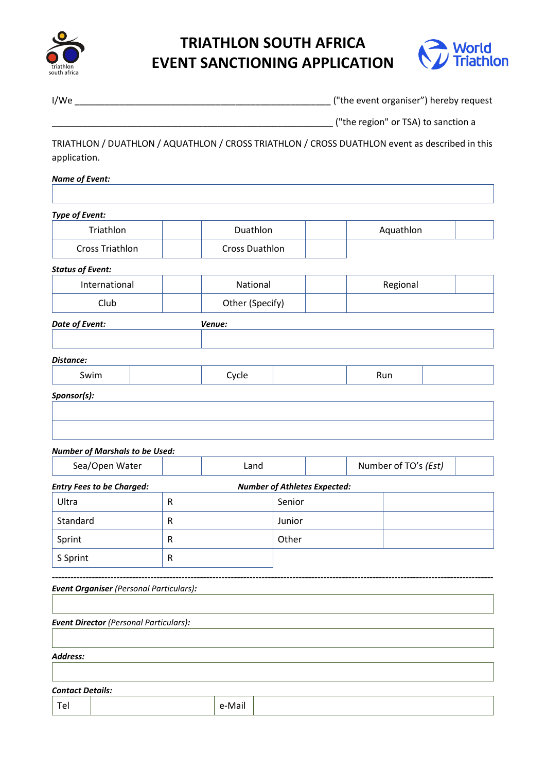

# **TRIATHLON SOUTH AFRICA EVENT SANCTIONING APPLICATION**



I/We \_\_\_\_\_\_\_\_\_\_\_\_\_\_\_\_\_\_\_\_\_\_\_\_\_\_\_\_\_\_\_\_\_\_\_\_\_\_\_\_\_\_\_\_\_\_\_\_\_\_\_ ("the event organiser") hereby request

("the region" or TSA) to sanction a

TRIATHLON / DUATHLON / AQUATHLON / CROSS TRIATHLON / CROSS DUATHLON event as described in this application.

#### *Name of Event:*

*Type of Event:* Triathlon | Duathlon | Aquathlon Cross Triathlon Cross Duathlon *Status of Event:* International | | National | Regional Club Other (Specify) *Date of Event: Venue: Distance:* Swim | | Cycle | | Run *Sponsor(s): Number of Marshals to be Used:* Sea/Open Water  $\vert$  **Land**  $\vert$  **Number of TO's** *(Est) Entry Fees to be Charged: Number of Athletes Expected:* Ultra R R Senior

| Standard | R | Junior |  |
|----------|---|--------|--|
| Sprint   | R | Other  |  |
| S Sprint | R |        |  |

*----------------------------------------------------------------------------------------------------------------------------------------------- Event Organiser (Personal Particulars):*

*Event Director (Personal Particulars):*

*Address:*

*Contact Details:*

| __                              |  |        |  |
|---------------------------------|--|--------|--|
| $\overline{\phantom{0}}$<br>. . |  | ,,,,,, |  |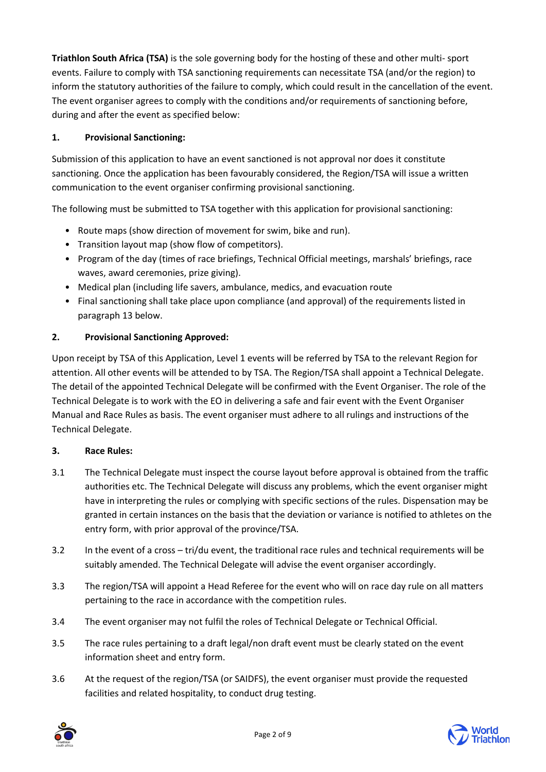**Triathlon South Africa (TSA)** is the sole governing body for the hosting of these and other multi- sport events. Failure to comply with TSA sanctioning requirements can necessitate TSA (and/or the region) to inform the statutory authorities of the failure to comply, which could result in the cancellation of the event. The event organiser agrees to comply with the conditions and/or requirements of sanctioning before, during and after the event as specified below:

# **1. Provisional Sanctioning:**

Submission of this application to have an event sanctioned is not approval nor does it constitute sanctioning. Once the application has been favourably considered, the Region/TSA will issue a written communication to the event organiser confirming provisional sanctioning.

The following must be submitted to TSA together with this application for provisional sanctioning:

- Route maps (show direction of movement for swim, bike and run).
- Transition layout map (show flow of competitors).
- Program of the day (times of race briefings, Technical Official meetings, marshals' briefings, race waves, award ceremonies, prize giving).
- Medical plan (including life savers, ambulance, medics, and evacuation route
- Final sanctioning shall take place upon compliance (and approval) of the requirements listed in paragraph 13 below.

# **2. Provisional Sanctioning Approved:**

Upon receipt by TSA of this Application, Level 1 events will be referred by TSA to the relevant Region for attention. All other events will be attended to by TSA. The Region/TSA shall appoint a Technical Delegate. The detail of the appointed Technical Delegate will be confirmed with the Event Organiser. The role of the Technical Delegate is to work with the EO in delivering a safe and fair event with the Event Organiser Manual and Race Rules as basis. The event organiser must adhere to all rulings and instructions of the Technical Delegate.

# **3. Race Rules:**

- 3.1 The Technical Delegate must inspect the course layout before approval is obtained from the traffic authorities etc. The Technical Delegate will discuss any problems, which the event organiser might have in interpreting the rules or complying with specific sections of the rules. Dispensation may be granted in certain instances on the basis that the deviation or variance is notified to athletes on the entry form, with prior approval of the province/TSA.
- 3.2 In the event of a cross tri/du event, the traditional race rules and technical requirements will be suitably amended. The Technical Delegate will advise the event organiser accordingly.
- 3.3 The region/TSA will appoint a Head Referee for the event who will on race day rule on all matters pertaining to the race in accordance with the competition rules.
- 3.4 The event organiser may not fulfil the roles of Technical Delegate or Technical Official.
- 3.5 The race rules pertaining to a draft legal/non draft event must be clearly stated on the event information sheet and entry form.
- 3.6 At the request of the region/TSA (or SAIDFS), the event organiser must provide the requested facilities and related hospitality, to conduct drug testing.



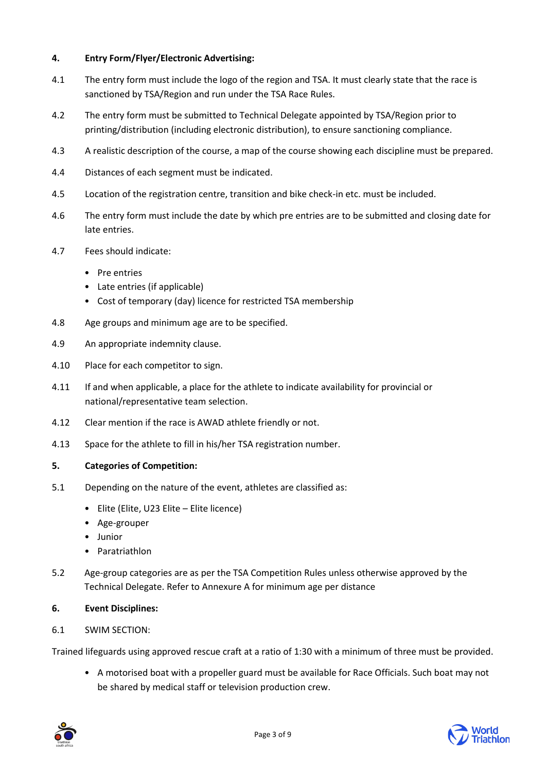# **4. Entry Form/Flyer/Electronic Advertising:**

- 4.1 The entry form must include the logo of the region and TSA. It must clearly state that the race is sanctioned by TSA/Region and run under the TSA Race Rules.
- 4.2 The entry form must be submitted to Technical Delegate appointed by TSA/Region prior to printing/distribution (including electronic distribution), to ensure sanctioning compliance.
- 4.3 A realistic description of the course, a map of the course showing each discipline must be prepared.
- 4.4 Distances of each segment must be indicated.
- 4.5 Location of the registration centre, transition and bike check-in etc. must be included.
- 4.6 The entry form must include the date by which pre entries are to be submitted and closing date for late entries.
- 4.7 Fees should indicate:
	- Pre entries
	- Late entries (if applicable)
	- Cost of temporary (day) licence for restricted TSA membership
- 4.8 Age groups and minimum age are to be specified.
- 4.9 An appropriate indemnity clause.
- 4.10 Place for each competitor to sign.
- 4.11 If and when applicable, a place for the athlete to indicate availability for provincial or national/representative team selection.
- 4.12 Clear mention if the race is AWAD athlete friendly or not.
- 4.13 Space for the athlete to fill in his/her TSA registration number.

#### **5. Categories of Competition:**

- 5.1 Depending on the nature of the event, athletes are classified as:
	- Elite (Elite, U23 Elite Elite licence)
	- Age-grouper
	- Junior
	- Paratriathlon
- 5.2 Age-group categories are as per the TSA Competition Rules unless otherwise approved by the Technical Delegate. Refer to Annexure A for minimum age per distance

#### **6. Event Disciplines:**

6.1 SWIM SECTION:

Trained lifeguards using approved rescue craft at a ratio of 1:30 with a minimum of three must be provided.

• A motorised boat with a propeller guard must be available for Race Officials. Such boat may not be shared by medical staff or television production crew.

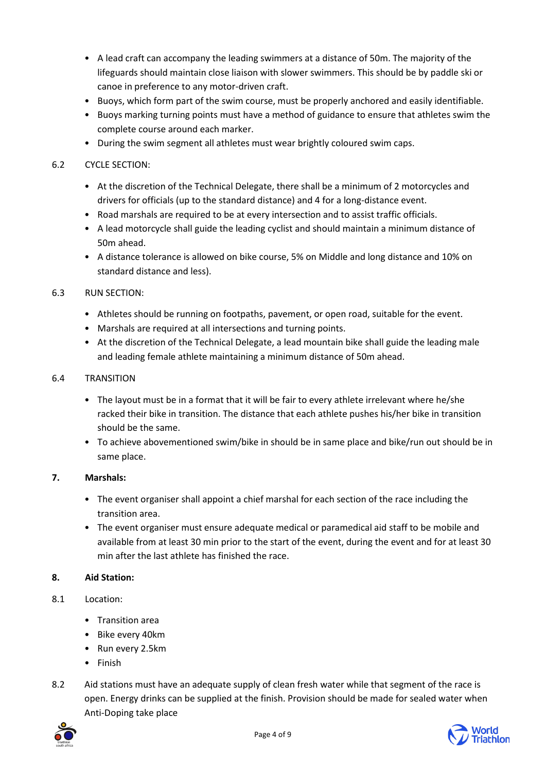- A lead craft can accompany the leading swimmers at a distance of 50m. The majority of the lifeguards should maintain close liaison with slower swimmers. This should be by paddle ski or canoe in preference to any motor-driven craft.
- Buoys, which form part of the swim course, must be properly anchored and easily identifiable.
- Buoys marking turning points must have a method of guidance to ensure that athletes swim the complete course around each marker.
- During the swim segment all athletes must wear brightly coloured swim caps.

# 6.2 CYCLE SECTION:

- At the discretion of the Technical Delegate, there shall be a minimum of 2 motorcycles and drivers for officials (up to the standard distance) and 4 for a long-distance event.
- Road marshals are required to be at every intersection and to assist traffic officials.
- A lead motorcycle shall guide the leading cyclist and should maintain a minimum distance of 50m ahead.
- A distance tolerance is allowed on bike course, 5% on Middle and long distance and 10% on standard distance and less).

# 6.3 RUN SECTION:

- Athletes should be running on footpaths, pavement, or open road, suitable for the event.
- Marshals are required at all intersections and turning points.
- At the discretion of the Technical Delegate, a lead mountain bike shall guide the leading male and leading female athlete maintaining a minimum distance of 50m ahead.

#### 6.4 TRANSITION

- The layout must be in a format that it will be fair to every athlete irrelevant where he/she racked their bike in transition. The distance that each athlete pushes his/her bike in transition should be the same.
- To achieve abovementioned swim/bike in should be in same place and bike/run out should be in same place.

# **7. Marshals:**

- The event organiser shall appoint a chief marshal for each section of the race including the transition area.
- The event organiser must ensure adequate medical or paramedical aid staff to be mobile and available from at least 30 min prior to the start of the event, during the event and for at least 30 min after the last athlete has finished the race.

#### **8. Aid Station:**

- 8.1 Location:
	- Transition area
	- Bike every 40km
	- Run every 2.5km
	- Finish
- 8.2 Aid stations must have an adequate supply of clean fresh water while that segment of the race is open. Energy drinks can be supplied at the finish. Provision should be made for sealed water when Anti-Doping take place



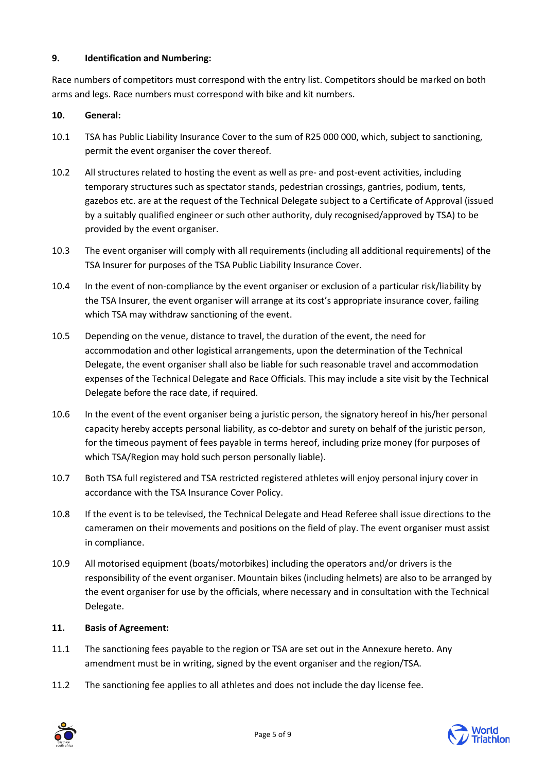# **9. Identification and Numbering:**

Race numbers of competitors must correspond with the entry list. Competitors should be marked on both arms and legs. Race numbers must correspond with bike and kit numbers.

# **10. General:**

- 10.1 TSA has Public Liability Insurance Cover to the sum of R25 000 000, which, subject to sanctioning, permit the event organiser the cover thereof.
- 10.2 All structures related to hosting the event as well as pre- and post-event activities, including temporary structures such as spectator stands, pedestrian crossings, gantries, podium, tents, gazebos etc. are at the request of the Technical Delegate subject to a Certificate of Approval (issued by a suitably qualified engineer or such other authority, duly recognised/approved by TSA) to be provided by the event organiser.
- 10.3 The event organiser will comply with all requirements (including all additional requirements) of the TSA Insurer for purposes of the TSA Public Liability Insurance Cover.
- 10.4 In the event of non-compliance by the event organiser or exclusion of a particular risk/liability by the TSA Insurer, the event organiser will arrange at its cost's appropriate insurance cover, failing which TSA may withdraw sanctioning of the event.
- 10.5 Depending on the venue, distance to travel, the duration of the event, the need for accommodation and other logistical arrangements, upon the determination of the Technical Delegate, the event organiser shall also be liable for such reasonable travel and accommodation expenses of the Technical Delegate and Race Officials. This may include a site visit by the Technical Delegate before the race date, if required.
- 10.6 In the event of the event organiser being a juristic person, the signatory hereof in his/her personal capacity hereby accepts personal liability, as co-debtor and surety on behalf of the juristic person, for the timeous payment of fees payable in terms hereof, including prize money (for purposes of which TSA/Region may hold such person personally liable).
- 10.7 Both TSA full registered and TSA restricted registered athletes will enjoy personal injury cover in accordance with the TSA Insurance Cover Policy.
- 10.8 If the event is to be televised, the Technical Delegate and Head Referee shall issue directions to the cameramen on their movements and positions on the field of play. The event organiser must assist in compliance.
- 10.9 All motorised equipment (boats/motorbikes) including the operators and/or drivers is the responsibility of the event organiser. Mountain bikes (including helmets) are also to be arranged by the event organiser for use by the officials, where necessary and in consultation with the Technical Delegate.

### **11. Basis of Agreement:**

- 11.1 The sanctioning fees payable to the region or TSA are set out in the Annexure hereto. Any amendment must be in writing, signed by the event organiser and the region/TSA.
- 11.2 The sanctioning fee applies to all athletes and does not include the day license fee.



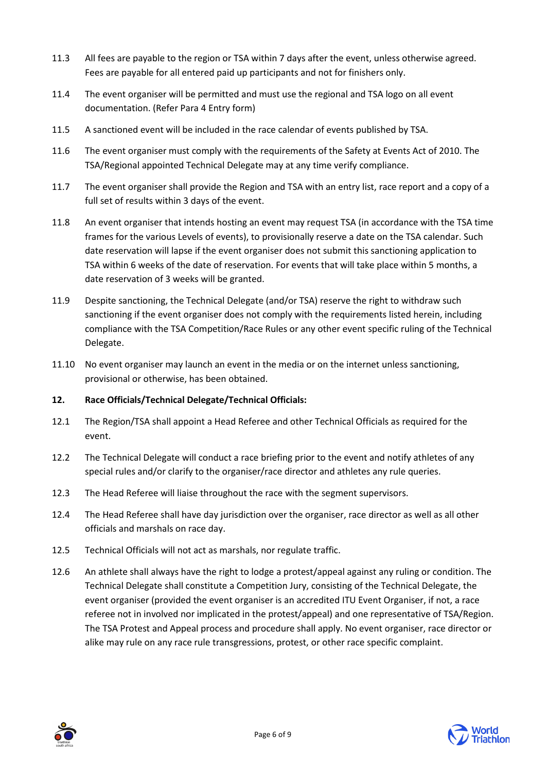- 11.3 All fees are payable to the region or TSA within 7 days after the event, unless otherwise agreed. Fees are payable for all entered paid up participants and not for finishers only.
- 11.4 The event organiser will be permitted and must use the regional and TSA logo on all event documentation. (Refer Para 4 Entry form)
- 11.5 A sanctioned event will be included in the race calendar of events published by TSA.
- 11.6 The event organiser must comply with the requirements of the Safety at Events Act of 2010. The TSA/Regional appointed Technical Delegate may at any time verify compliance.
- 11.7 The event organiser shall provide the Region and TSA with an entry list, race report and a copy of a full set of results within 3 days of the event.
- 11.8 An event organiser that intends hosting an event may request TSA (in accordance with the TSA time frames for the various Levels of events), to provisionally reserve a date on the TSA calendar. Such date reservation will lapse if the event organiser does not submit this sanctioning application to TSA within 6 weeks of the date of reservation. For events that will take place within 5 months, a date reservation of 3 weeks will be granted.
- 11.9 Despite sanctioning, the Technical Delegate (and/or TSA) reserve the right to withdraw such sanctioning if the event organiser does not comply with the requirements listed herein, including compliance with the TSA Competition/Race Rules or any other event specific ruling of the Technical Delegate.
- 11.10 No event organiser may launch an event in the media or on the internet unless sanctioning, provisional or otherwise, has been obtained.

# **12. Race Officials/Technical Delegate/Technical Officials:**

- 12.1 The Region/TSA shall appoint a Head Referee and other Technical Officials as required for the event.
- 12.2 The Technical Delegate will conduct a race briefing prior to the event and notify athletes of any special rules and/or clarify to the organiser/race director and athletes any rule queries.
- 12.3 The Head Referee will liaise throughout the race with the segment supervisors.
- 12.4 The Head Referee shall have day jurisdiction over the organiser, race director as well as all other officials and marshals on race day.
- 12.5 Technical Officials will not act as marshals, nor regulate traffic.
- 12.6 An athlete shall always have the right to lodge a protest/appeal against any ruling or condition. The Technical Delegate shall constitute a Competition Jury, consisting of the Technical Delegate, the event organiser (provided the event organiser is an accredited ITU Event Organiser, if not, a race referee not in involved nor implicated in the protest/appeal) and one representative of TSA/Region. The TSA Protest and Appeal process and procedure shall apply. No event organiser, race director or alike may rule on any race rule transgressions, protest, or other race specific complaint.



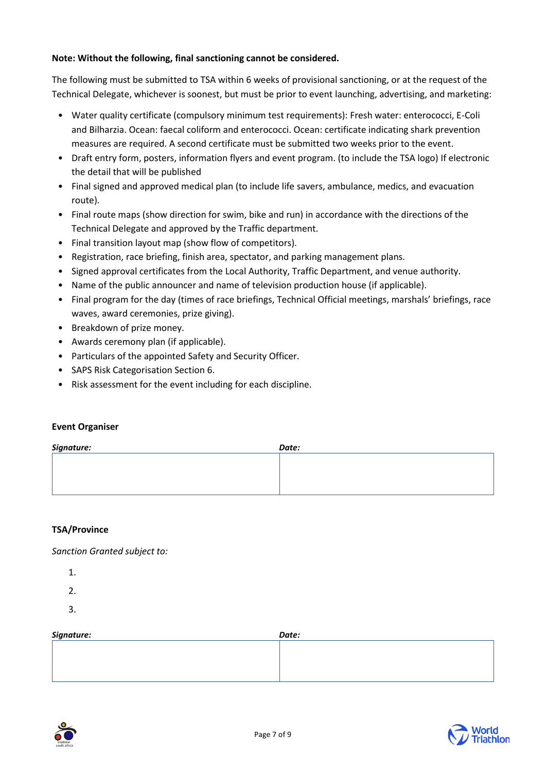# **Note: Without the following, final sanctioning cannot be considered.**

The following must be submitted to TSA within 6 weeks of provisional sanctioning, or at the request of the Technical Delegate, whichever is soonest, but must be prior to event launching, advertising, and marketing:

- Water quality certificate (compulsory minimum test requirements): Fresh water: enterococci, E-Coli and Bilharzia. Ocean: faecal coliform and enterococci. Ocean: certificate indicating shark prevention measures are required. A second certificate must be submitted two weeks prior to the event.
- Draft entry form, posters, information flyers and event program. (to include the TSA logo) If electronic the detail that will be published
- Final signed and approved medical plan (to include life savers, ambulance, medics, and evacuation route).
- Final route maps (show direction for swim, bike and run) in accordance with the directions of the Technical Delegate and approved by the Traffic department.
- Final transition layout map (show flow of competitors).
- Registration, race briefing, finish area, spectator, and parking management plans.
- Signed approval certificates from the Local Authority, Traffic Department, and venue authority.
- Name of the public announcer and name of television production house (if applicable).
- Final program for the day (times of race briefings, Technical Official meetings, marshals' briefings, race waves, award ceremonies, prize giving).
- Breakdown of prize money.
- Awards ceremony plan (if applicable).
- Particulars of the appointed Safety and Security Officer.
- SAPS Risk Categorisation Section 6.
- Risk assessment for the event including for each discipline.

#### **Event Organiser**

| Signature: | Date: |
|------------|-------|
|            |       |
|            |       |
|            |       |

# **TSA/Province**

*Sanction Granted subject to:*

- 1.
- 2.
- 3.

| Signature: | Date: |
|------------|-------|
|            |       |
|            |       |
|            |       |
|            |       |
|            |       |

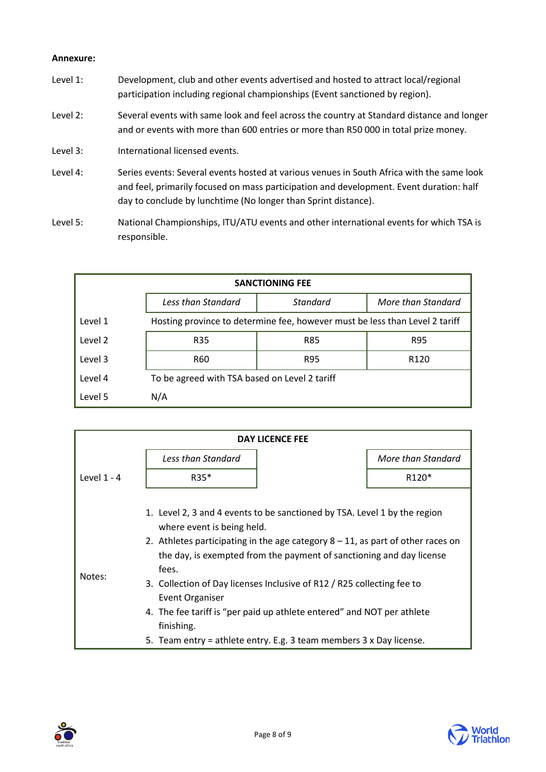#### **Annexure:**

- Level 1: Development, club and other events advertised and hosted to attract local/regional participation including regional championships (Event sanctioned by region).
- Level 2: Several events with same look and feel across the country at Standard distance and longer and or events with more than 600 entries or more than R50 000 in total prize money.
- Level 3: International licensed events.
- Level 4: Series events: Several events hosted at various venues in South Africa with the same look and feel, primarily focused on mass participation and development. Event duration: half day to conclude by lunchtime (No longer than Sprint distance).
- Level 5: National Championships, ITU/ATU events and other international events for which TSA is responsible.

| <b>SANCTIONING FEE</b> |                                                                             |          |                    |  |
|------------------------|-----------------------------------------------------------------------------|----------|--------------------|--|
|                        | Less than Standard                                                          | Standard | More than Standard |  |
| Level 1                | Hosting province to determine fee, however must be less than Level 2 tariff |          |                    |  |
| Level 2                | R35                                                                         | R85      | R95                |  |
| Level 3                | R60                                                                         | R95      | R <sub>120</sub>   |  |
| Level 4                | To be agreed with TSA based on Level 2 tariff                               |          |                    |  |
| Level 5                | N/A                                                                         |          |                    |  |

| <b>DAY LICENCE FEE</b> |                                                                                                                                                                                                                                                                                                                                                                                                                                                                                                                                                   |  |                    |
|------------------------|---------------------------------------------------------------------------------------------------------------------------------------------------------------------------------------------------------------------------------------------------------------------------------------------------------------------------------------------------------------------------------------------------------------------------------------------------------------------------------------------------------------------------------------------------|--|--------------------|
|                        | Less than Standard                                                                                                                                                                                                                                                                                                                                                                                                                                                                                                                                |  | More than Standard |
| Level $1 - 4$          | $R35*$                                                                                                                                                                                                                                                                                                                                                                                                                                                                                                                                            |  | R120*              |
| Notes:                 | 1. Level 2, 3 and 4 events to be sanctioned by TSA. Level 1 by the region<br>where event is being held.<br>2. Athletes participating in the age category $8 - 11$ , as part of other races on<br>the day, is exempted from the payment of sanctioning and day license<br>fees.<br>3. Collection of Day licenses Inclusive of R12 / R25 collecting fee to<br><b>Event Organiser</b><br>4. The fee tariff is "per paid up athlete entered" and NOT per athlete<br>finishing.<br>5. Team entry = athlete entry. E.g. 3 team members 3 x Day license. |  |                    |